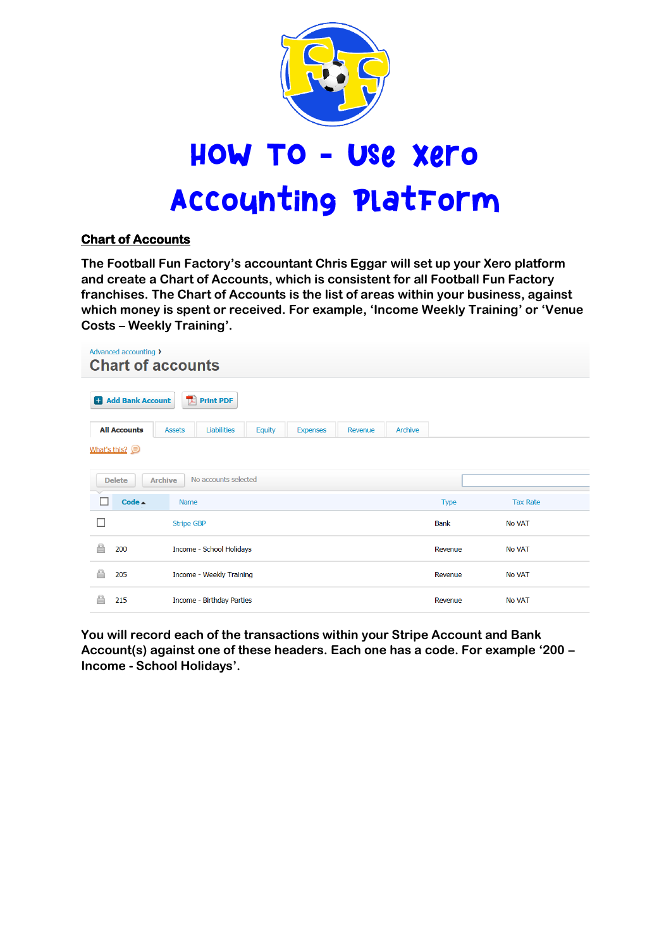

# HOW TO - USe xero **Accounting PlatForm**

## **Chart of Accounts**

**The Football Fun Factory's accountant Chris Eggar will set up your Xero platform and create a Chart of Accounts, which is consistent for all Football Fun Factory franchises. The Chart of Accounts is the list of areas within your business, against which money is spent or received. For example, 'Income Weekly Training' or 'Venue Costs – Weekly Training'.**

| Advanced accounting ><br><b>Chart of accounts</b> |                   |                           |               |                 |         |                |             |                 |
|---------------------------------------------------|-------------------|---------------------------|---------------|-----------------|---------|----------------|-------------|-----------------|
| <b>H</b> Add Bank Account                         | 快                 | <b>Print PDF</b>          |               |                 |         |                |             |                 |
| <b>All Accounts</b>                               | <b>Assets</b>     | <b>Liabilities</b>        | <b>Equity</b> | <b>Expenses</b> | Revenue | <b>Archive</b> |             |                 |
| What's this?                                      |                   |                           |               |                 |         |                |             |                 |
| <b>Delete</b>                                     | <b>Archive</b>    | No accounts selected      |               |                 |         |                |             |                 |
| Code $\triangle$                                  | <b>Name</b>       |                           |               |                 |         |                | <b>Type</b> | <b>Tax Rate</b> |
|                                                   | <b>Stripe GBP</b> |                           |               |                 |         |                | <b>Bank</b> | <b>No VAT</b>   |
| 200                                               |                   | Income - School Holidays  |               |                 |         |                | Revenue     | <b>No VAT</b>   |
| 205                                               |                   | Income - Weekly Training  |               |                 |         |                | Revenue     | <b>No VAT</b>   |
| 215                                               |                   | Income - Birthday Parties |               |                 |         |                | Revenue     | <b>No VAT</b>   |

**You will record each of the transactions within your Stripe Account and Bank Account(s) against one of these headers. Each one has a code. For example '200 – Income - School Holidays'.**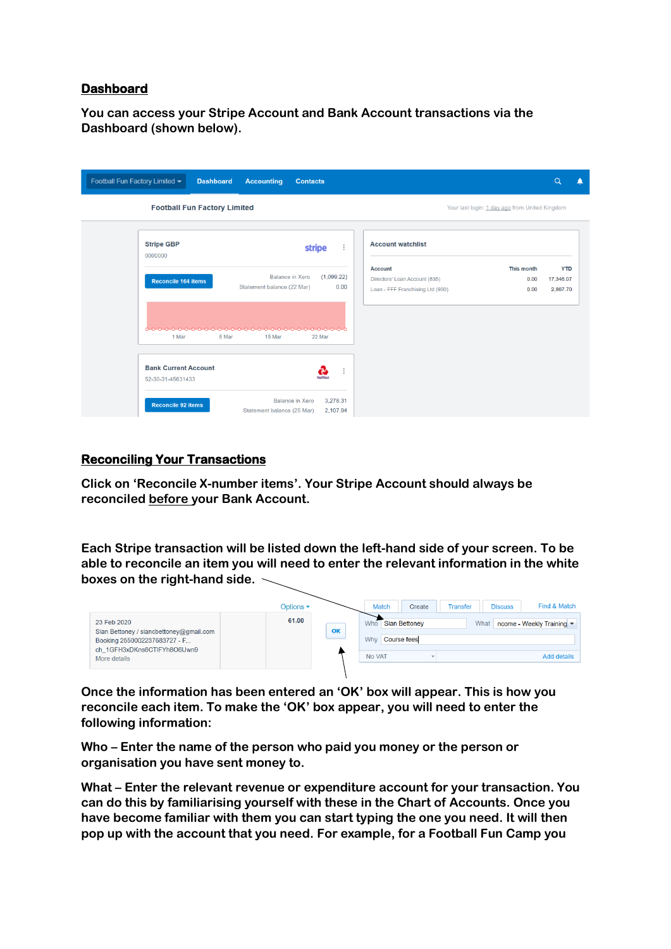## **Dashboard**

**You can access your Stripe Account and Bank Account transactions via the Dashboard (shown below).** 

| Football Fun Factory Limited ~                            | <b>Dashboard</b><br><b>Accounting</b><br><b>Contacts</b>                     |                                                                                                                   | Q<br>n                              |
|-----------------------------------------------------------|------------------------------------------------------------------------------|-------------------------------------------------------------------------------------------------------------------|-------------------------------------|
| <b>Football Fun Factory Limited</b>                       |                                                                              | Your last login: 1 day ago from United Kingdom                                                                    |                                     |
| <b>Stripe GBP</b><br>0000000                              | $\vdots$<br>stripe                                                           | <b>Account watchlist</b>                                                                                          |                                     |
| <b>Reconcile 164 items</b>                                | <b>Balance in Xero</b><br>(1,099.22)<br>Statement balance (22 Mar)<br>0.00   | This month<br><b>Account</b><br>Directors' Loan Account (835)<br>0.00<br>Loan - FFF Franchising Ltd (900)<br>0.00 | <b>YTD</b><br>17,346.07<br>2,867.70 |
| 1 Mar<br><b>Bank Current Account</b><br>52-30-31-45631433 | 15 Mar<br>22 Mar<br>8 Mar<br>$\vdots$<br><b>NatWest</b>                      |                                                                                                                   |                                     |
| <b>Reconcile 92 items</b>                                 | <b>Balance in Xero</b><br>3,278.31<br>2,107.94<br>Statement balance (25 Mar) |                                                                                                                   |                                     |

#### **Reconciling Your Transactions**

**Click on 'Reconcile X-number items'. Your Stripe Account should always be reconciled before your Bank Account.**

**Each Stripe transaction will be listed down the left-hand side of your screen. To be able to reconcile an item you will need to enter the relevant information in the white boxes on the right-hand side.**

|                                                                                                                       | Options $\blacktriangleright$ | Find & Match<br><b>Match</b><br><b>Discuss</b><br>Create<br><b>Transfer</b>           |
|-----------------------------------------------------------------------------------------------------------------------|-------------------------------|---------------------------------------------------------------------------------------|
| 23 Feb 2020<br>Sian Bettoney / siancbettoney@gmail.com<br>Booking 2550002237683727 - F<br>ch 1GFH3xDKns6CTIFYh8O6Uwn9 | 61.00                         | Sian Bettoney<br>What<br>ncome - Weekly Training ▼<br>Who<br>OK<br>Course fees<br>Why |
| More details                                                                                                          |                               | No VAT<br><b>Add details</b>                                                          |

**Once the information has been entered an 'OK' box will appear. This is how you reconcile each item. To make the 'OK' box appear, you will need to enter the following information:**

**Who – Enter the name of the person who paid you money or the person or organisation you have sent money to.** 

**What – Enter the relevant revenue or expenditure account for your transaction. You can do this by familiarising yourself with these in the Chart of Accounts. Once you have become familiar with them you can start typing the one you need. It will then pop up with the account that you need. For example, for a Football Fun Camp you**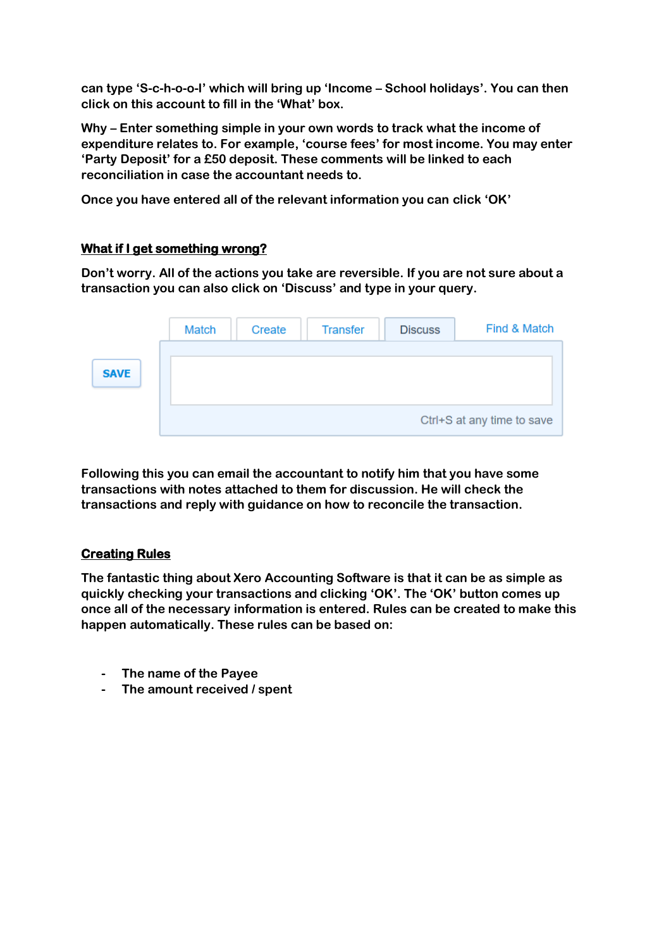**can type 'S-c-h-o-o-l' which will bring up 'Income – School holidays'. You can then click on this account to fill in the 'What' box.**

**Why – Enter something simple in your own words to track what the income of expenditure relates to. For example, 'course fees' for most income. You may enter 'Party Deposit' for a £50 deposit. These comments will be linked to each reconciliation in case the accountant needs to.**

**Once you have entered all of the relevant information you can click 'OK'** 

## **What if I get something wrong?**

**Don't worry. All of the actions you take are reversible. If you are not sure about a transaction you can also click on 'Discuss' and type in your query.**

|             | <b>Match</b> | Create | <b>Transfer</b> | <b>Discuss</b> | Find & Match               |
|-------------|--------------|--------|-----------------|----------------|----------------------------|
| <b>SAVE</b> |              |        |                 |                |                            |
|             |              |        |                 |                | Ctrl+S at any time to save |

**Following this you can email the accountant to notify him that you have some transactions with notes attached to them for discussion. He will check the transactions and reply with guidance on how to reconcile the transaction.**

## **Creating Rules**

**The fantastic thing about Xero Accounting Software is that it can be as simple as quickly checking your transactions and clicking 'OK'. The 'OK' button comes up once all of the necessary information is entered. Rules can be created to make this happen automatically. These rules can be based on:**

- **- The name of the Payee**
- **- The amount received / spent**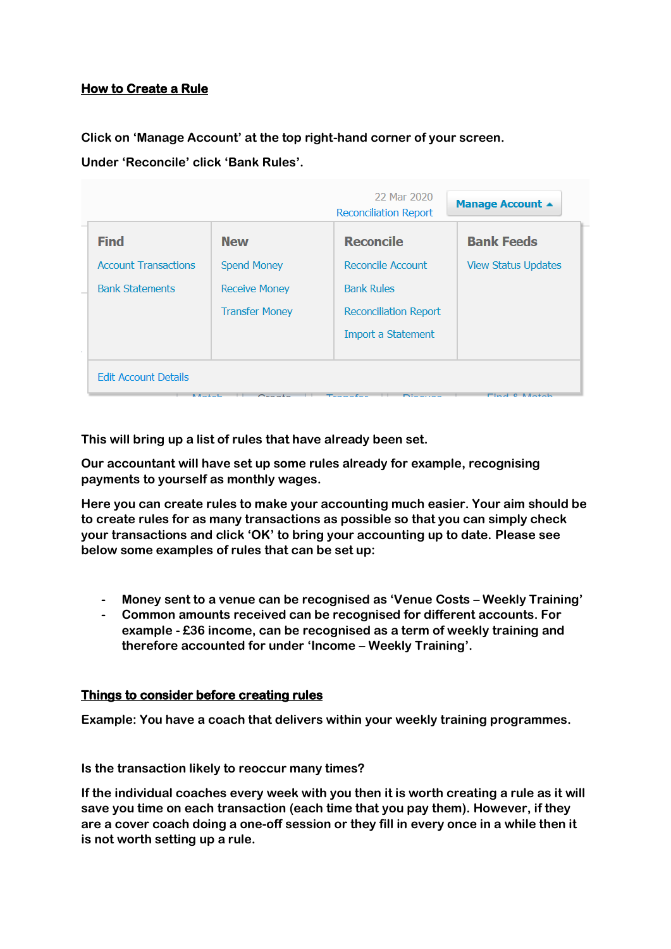## **How to Create a Rule**

**Click on 'Manage Account' at the top right-hand corner of your screen.**

**Under 'Reconcile' click 'Bank Rules'.**

|                             |                       | 22 Mar 2020<br><b>Reconciliation Report</b> | Manage Account ▲           |
|-----------------------------|-----------------------|---------------------------------------------|----------------------------|
| <b>Find</b>                 | <b>New</b>            | <b>Reconcile</b>                            | <b>Bank Feeds</b>          |
| <b>Account Transactions</b> | <b>Spend Money</b>    | Reconcile Account                           | <b>View Status Updates</b> |
| <b>Bank Statements</b>      | <b>Receive Money</b>  | <b>Bank Rules</b>                           |                            |
|                             | <b>Transfer Money</b> | <b>Reconciliation Report</b>                |                            |
|                             |                       | Import a Statement                          |                            |
|                             |                       |                                             |                            |
| <b>Edit Account Details</b> |                       |                                             |                            |

**This will bring up a list of rules that have already been set.**

**Our accountant will have set up some rules already for example, recognising payments to yourself as monthly wages.**

**Here you can create rules to make your accounting much easier. Your aim should be to create rules for as many transactions as possible so that you can simply check your transactions and click 'OK' to bring your accounting up to date. Please see below some examples of rules that can be set up:**

- **- Money sent to a venue can be recognised as 'Venue Costs – Weekly Training'**
- **- Common amounts received can be recognised for different accounts. For example - £36 income, can be recognised as a term of weekly training and therefore accounted for under 'Income – Weekly Training'.**

## **Things to consider before creating rules**

**Example: You have a coach that delivers within your weekly training programmes.** 

**Is the transaction likely to reoccur many times?** 

**If the individual coaches every week with you then it is worth creating a rule as it will save you time on each transaction (each time that you pay them). However, if they are a cover coach doing a one-off session or they fill in every once in a while then it is not worth setting up a rule.**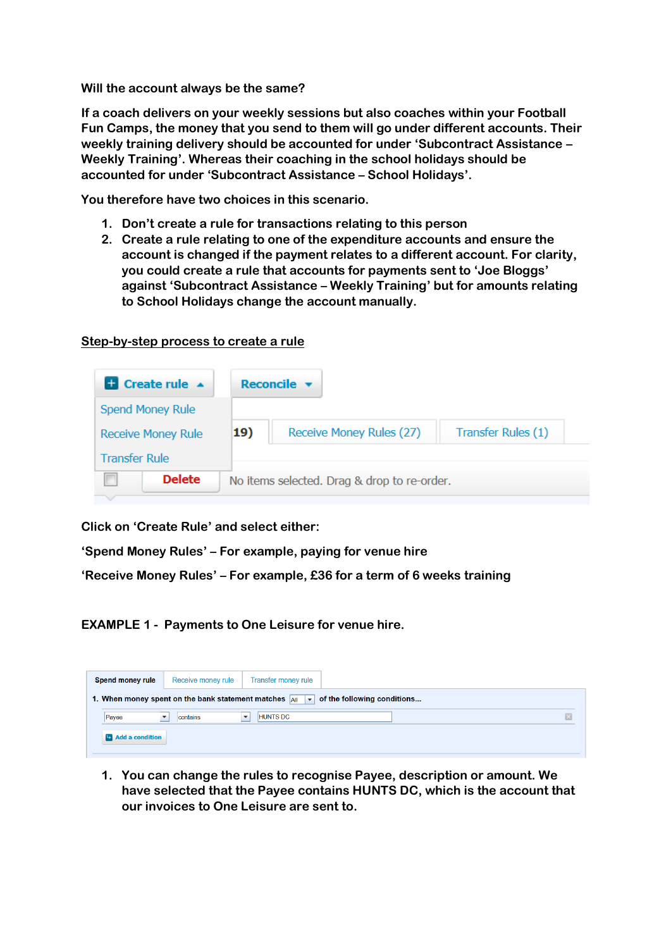**Will the account always be the same?**

**If a coach delivers on your weekly sessions but also coaches within your Football Fun Camps, the money that you send to them will go under different accounts. Their weekly training delivery should be accounted for under 'Subcontract Assistance – Weekly Training'. Whereas their coaching in the school holidays should be accounted for under 'Subcontract Assistance – School Holidays'.**

**You therefore have two choices in this scenario.**

- **1. Don't create a rule for transactions relating to this person**
- **2. Create a rule relating to one of the expenditure accounts and ensure the account is changed if the payment relates to a different account. For clarity, you could create a rule that accounts for payments sent to 'Joe Bloggs' against 'Subcontract Assistance – Weekly Training' but for amounts relating to School Holidays change the account manually.**

## **Step-by-step process to create a rule**

| Create rule A             |     | Reconcile $\blacktriangledown$              |                    |
|---------------------------|-----|---------------------------------------------|--------------------|
| <b>Spend Money Rule</b>   |     |                                             |                    |
| <b>Receive Money Rule</b> | 19) | Receive Money Rules (27)                    | Transfer Rules (1) |
| <b>Transfer Rule</b>      |     |                                             |                    |
| <b>Delete</b>             |     | No items selected. Drag & drop to re-order. |                    |
|                           |     |                                             |                    |

**Click on 'Create Rule' and select either:**

**'Spend Money Rules' – For example, paying for venue hire**

**'Receive Money Rules' – For example, £36 for a term of 6 weeks training**

**EXAMPLE 1 - Payments to One Leisure for venue hire.**

| <b>Spend money rule</b>  | Receive money rule | Transfer money rule                                                                                    |  |   |
|--------------------------|--------------------|--------------------------------------------------------------------------------------------------------|--|---|
|                          |                    | 1. When money spent on the bank statement matches $\ A\ $ $\ \mathbf{v}\ $ of the following conditions |  |   |
| Payee                    | contains           | <b>HUNTS DC</b>                                                                                        |  | E |
| <b>D</b> Add a condition |                    |                                                                                                        |  |   |

**1. You can change the rules to recognise Payee, description or amount. We have selected that the Payee contains HUNTS DC, which is the account that our invoices to One Leisure are sent to.**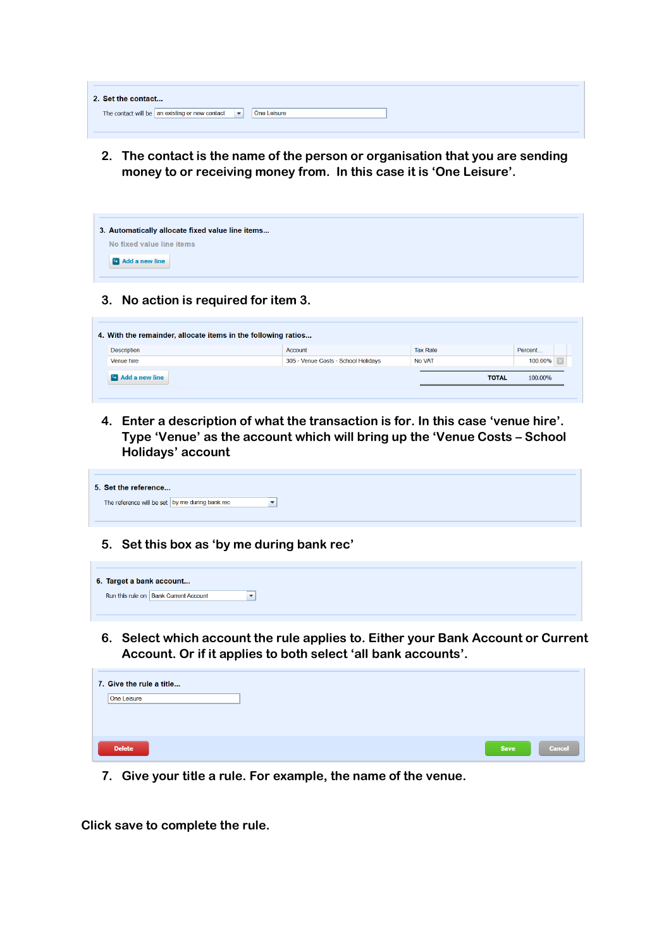| 2. Set the contact                                                         |             |
|----------------------------------------------------------------------------|-------------|
| The contact will be an existing or new contact<br>$\overline{\phantom{a}}$ | One Leisure |

**2. The contact is the name of the person or organisation that you are sending money to or receiving money from. In this case it is 'One Leisure'.**

| 3. Automatically allocate fixed value line items |
|--------------------------------------------------|
| No fixed value line items                        |
| <b>Ex</b> Add a new line                         |

**3. No action is required for item 3.**

| 4. With the remainder, allocate items in the following ratios |                                     |                 |              |         |  |
|---------------------------------------------------------------|-------------------------------------|-----------------|--------------|---------|--|
| <b>Description</b>                                            | Account                             | <b>Tax Rate</b> |              | Percent |  |
| Venue hire                                                    | 305 - Venue Costs - School Holidays | No VAT          |              | 100.00% |  |
| <b>D</b> Add a new line                                       |                                     |                 | <b>TOTAL</b> | 100.00% |  |

**4. Enter a description of what the transaction is for. In this case 'venue hire'. Type 'Venue' as the account which will bring up the 'Venue Costs – School Holidays' account**

| 5. Set the reference                            |                          |
|-------------------------------------------------|--------------------------|
| The reference will be set by me during bank rec | $\overline{\phantom{a}}$ |

**5. Set this box as 'by me during bank rec'**

| 6. Target a bank account |                                         |  |
|--------------------------|-----------------------------------------|--|
|                          | Run this rule on   Bank Current Account |  |

**6. Select which account the rule applies to. Either your Bank Account or Current Account. Or if it applies to both select 'all bank accounts'.**

| 7. Give the rule a title<br>One Leisure |             |               |
|-----------------------------------------|-------------|---------------|
| <b>Delete</b>                           | <b>Save</b> | <b>Cancel</b> |

**7. Give your title a rule. For example, the name of the venue.** 

**Click save to complete the rule.**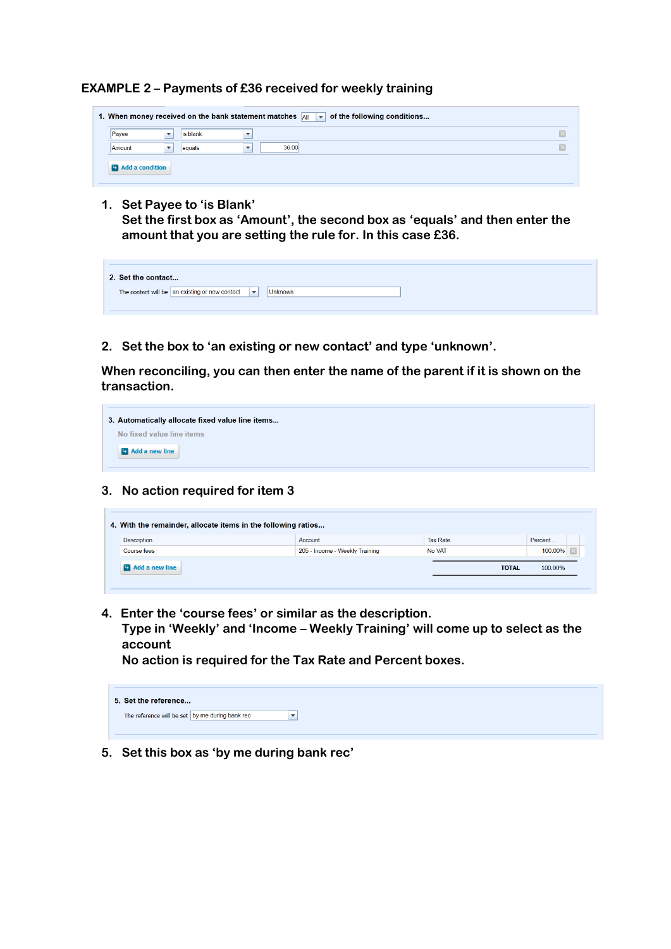**EXAMPLE 2 – Payments of £36 received for weekly training**



**1. Set Payee to 'is Blank'**

**Set the first box as 'Amount', the second box as 'equals' and then enter the amount that you are setting the rule for. In this case £36.**

| 2. Set the contact                                                                   |
|--------------------------------------------------------------------------------------|
| The contact will be an existing or new contact $\left\  \bullet \right\ $<br>Unknown |

**2. Set the box to 'an existing or new contact' and type 'unknown'.**

**When reconciling, you can then enter the name of the parent if it is shown on the transaction.**



## **3. No action required for item 3**

| 4. With the remainder, allocate items in the following ratios |                          |                                |                 |         |  |  |
|---------------------------------------------------------------|--------------------------|--------------------------------|-----------------|---------|--|--|
|                                                               | Description              | Account                        | <b>Tax Rate</b> | Percent |  |  |
|                                                               | Course fees              | 205 - Income - Weekly Training | No VAT          | 100.00% |  |  |
|                                                               | <b>Ex</b> Add a new line |                                | <b>TOTAL</b>    | 100.00% |  |  |
|                                                               |                          |                                |                 |         |  |  |

**4. Enter the 'course fees' or similar as the description.**

**Type in 'Weekly' and 'Income – Weekly Training' will come up to select as the account**

**No action is required for the Tax Rate and Percent boxes.**

**5. Set this box as 'by me during bank rec'**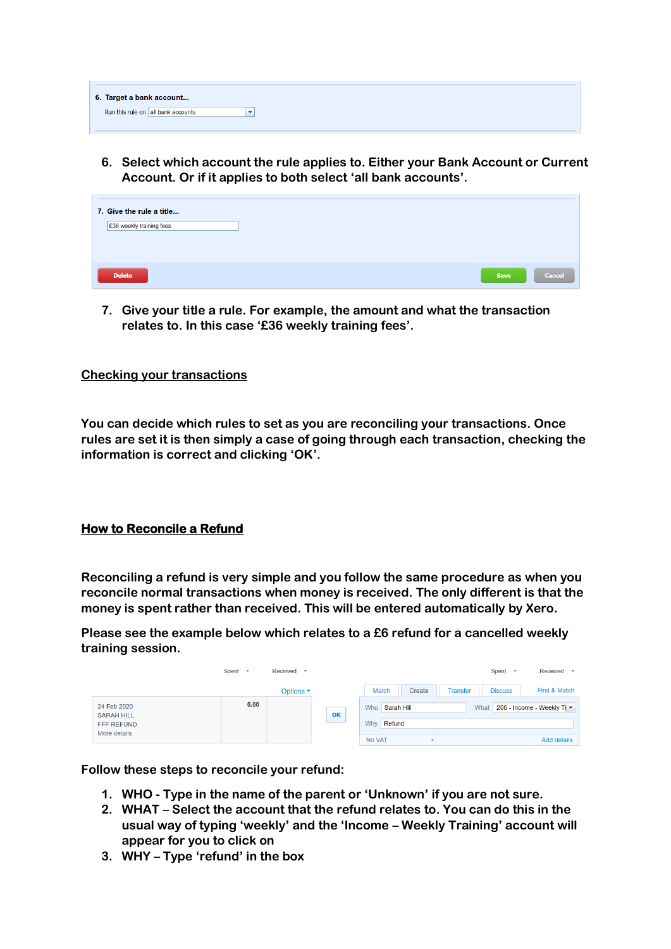| 6. Target a bank account           |  |  |
|------------------------------------|--|--|
| Run this rule on all bank accounts |  |  |

**6. Select which account the rule applies to. Either your Bank Account or Current Account. Or if it applies to both select 'all bank accounts'.**

| 7. Give the rule a title<br>£36 weekly training fees |             |               |
|------------------------------------------------------|-------------|---------------|
| <b>Delete</b>                                        | <b>Save</b> | <b>Cancel</b> |

**7. Give your title a rule. For example, the amount and what the transaction relates to. In this case '£36 weekly training fees'.**

## **Checking your transactions**

**You can decide which rules to set as you are reconciling your transactions. Once rules are set it is then simply a case of going through each transaction, checking the information is correct and clicking 'OK'.**

#### **How to Reconcile a Refund**

**Reconciling a refund is very simple and you follow the same procedure as when you reconcile normal transactions when money is received. The only different is that the money is spent rather than received. This will be entered automatically by Xero.**

**Please see the example below which relates to a £6 refund for a cancelled weekly training session.** 

|                                                                | Spent | Received                         |    |                                            | Received<br>Spent<br>$\rightarrow$ |
|----------------------------------------------------------------|-------|----------------------------------|----|--------------------------------------------|------------------------------------|
|                                                                |       | Options $\overline{\phantom{a}}$ |    | <b>Match</b><br>Create<br><b>Transfer</b>  | Find & Match<br><b>Discuss</b>     |
| 24 Feb 2020<br><b>SARAH HILL</b><br>FFF REFUND<br>More details | 6.00  |                                  | OK | Sarah Hill<br>What<br>Who<br>Refund<br>Why | 205 - Income - Weekly Tr ▼         |
|                                                                |       |                                  |    | No VAT                                     | <b>Add details</b>                 |

**Follow these steps to reconcile your refund:**

- **1. WHO - Type in the name of the parent or 'Unknown' if you are not sure.**
- **2. WHAT – Select the account that the refund relates to. You can do this in the usual way of typing 'weekly' and the 'Income – Weekly Training' account will appear for you to click on**
- **3. WHY – Type 'refund' in the box**